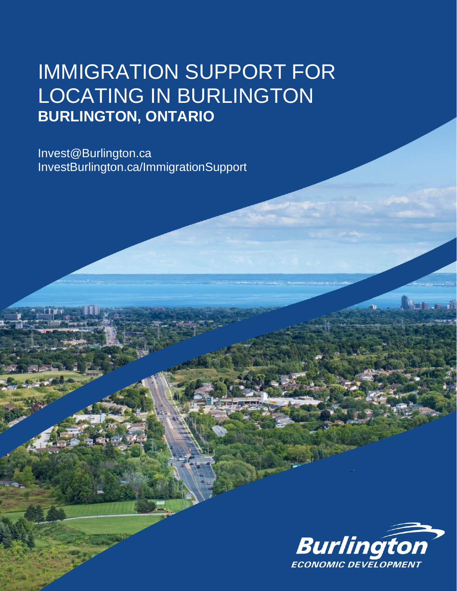# IMMIGRATION SUPPORT FOR LOCATING IN BURLINGTON **BURLINGTON, ONTARIO**

Invest@Burlington.ca InvestBurlington.ca/ImmigrationSupport

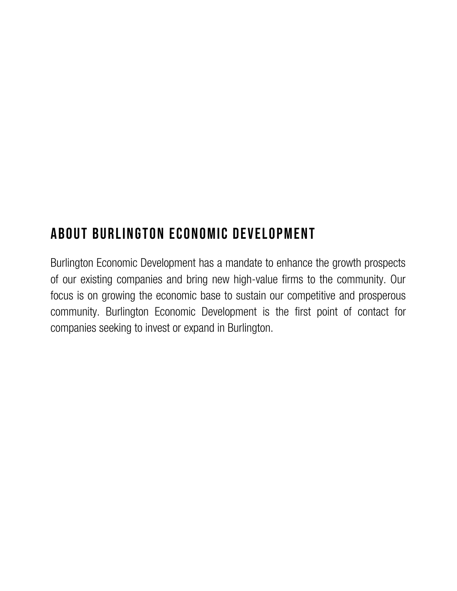### About Burlington Economic Development

Burlington Economic Development has a mandate to enhance the growth prospects of our existing companies and bring new high-value firms to the community. Our focus is on growing the economic base to sustain our competitive and prosperous community. Burlington Economic Development is the first point of contact for companies seeking to invest or expand in Burlington.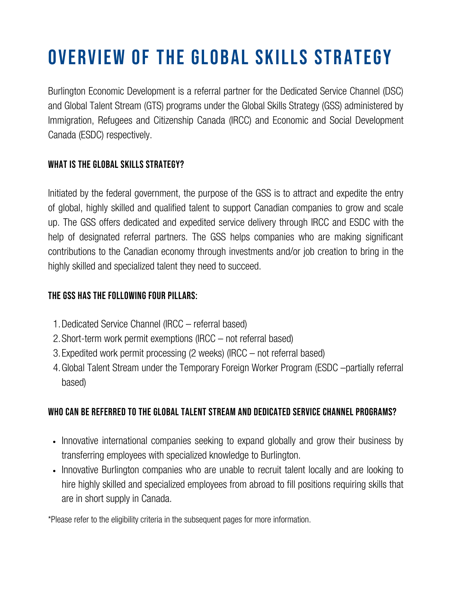# Overview of the Global Skills Strategy

Burlington Economic Development is a referral partner for the Dedicated Service Channel (DSC) and Global Talent Stream (GTS) programs under the Global Skills Strategy (GSS) administered by Immigration, Refugees and Citizenship Canada (IRCC) and Economic and Social Development Canada (ESDC) respectively.

#### WHAT IS THE GLOBAL SKILLS STRATEGY?

Initiated by the federal government, the purpose of the GSS is to attract and expedite the entry of global, highly skilled and qualified talent to support Canadian companies to grow and scale up. The GSS offers dedicated and expedited service delivery through IRCC and ESDC with the help of designated referral partners. The GSS helps companies who are making significant contributions to the Canadian economy through investments and/or job creation to bring in the highly skilled and specialized talent they need to succeed.

#### The GSS has the following four Pillars:

- Dedicated Service Channel (IRCC referral based) 1.
- 2. Short-term work permit exemptions (IRCC not referral based)
- Expedited work permit processing (2 weeks) (IRCC not referral based) 3.
- Global Talent Stream under the Temporary Foreign Worker Program (ESDC –partially referral 4. based)

#### Who can be referred to the Global Talent Stream and Dedicated Service Channel Programs?

- Innovative international companies seeking to expand globally and grow their business by transferring employees with specialized knowledge to Burlington.
- Innovative Burlington companies who are unable to recruit talent locally and are looking to hire highly skilled and specialized employees from abroad to fill positions requiring skills that are in short supply in Canada.

\*Please refer to the eligibility criteria in the subsequent pages for more information.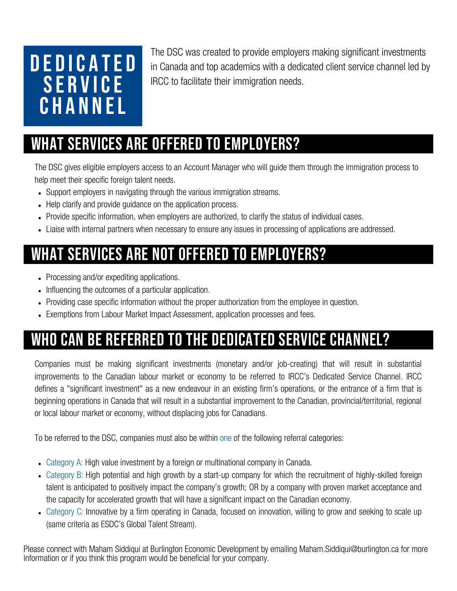# D E D I C A T E D **SERVICE CHANNEL**

The DSC was created to provide employers making significant investments in Canada and top academics with a dedicated client service channel led by IRCC to facilitate their immigration needs.

# What services are offered to employers?

The DSC gives eligible employers access to an Account Manager who will guide them through the immigration process to help meet their specific foreign talent needs.

- Support employers in navigating through the various immigration streams.
- Help clarify and provide quidance on the application process.
- Provide specific information, when employers are authorized, to clarify the status of individual cases.
- Liaise with internal partners when necessary to ensure any issues in processing of applications are addressed.

# What services are not offered to employers?

- Processing and/or expediting applications.
- Influencing the outcomes of a particular application.
- Providing case specific information without the proper authorization from the employee in question.
- Exemptions from Labour Market Impact Assessment, application processes and fees.

# Who can be referred to the Dedicated Service Channel?

Companies must be making significant investments (monetary and/or job-creating) that will result in substantial improvements to the Canadian labour market or economy to be referred to IRCC's Dedicated Service Channel. IRCC defines a "significant investment" as a new endeavour in an existing firm's operations, or the entrance of a firm that is beginning operations in Canada that will result in a substantial improvement to the Canadian, provincial/territorial, regional or local labour market or economy, without displacing jobs for Canadians.

To be referred to the DSC, companies must also be within one of the following referral categories:

- Category A: High value investment by a foreign or multinational company in Canada.
- Category B: High potential and high growth by a start-up company for which the recruitment of highly-skilled foreign talent is anticipated to positively impact the company's growth; OR by a company with proven market acceptance and the capacity for accelerated growth that will have a significant impact on the Canadian economy.
- Category C: Innovative by a firm operating in Canada, focused on innovation, willing to grow and seeking to scale up (same criteria as ESDC's Global Talent Stream).

Please connect with Maham Siddiqui at Burlington Economic Development by emailing Maham.Siddiqui@burlington.ca for more information or if you think this program would be beneficial for your company.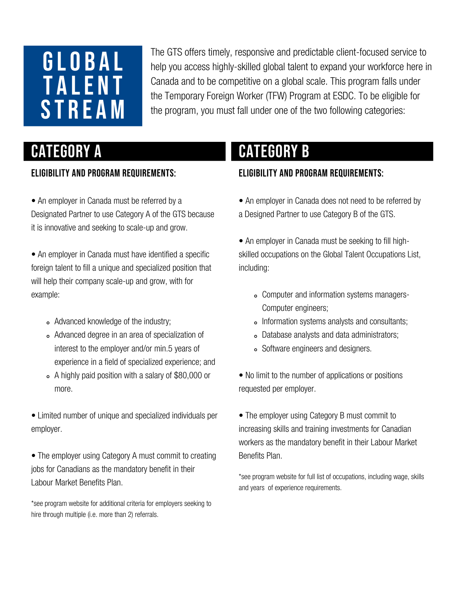# GLOBAL **TALENT STREAM**

The GTS offers timely, responsive and predictable client-focused service to help you access highly-skilled global talent to expand your workforce here in Canada and to be competitive on a global scale. This program falls under the Temporary Foreign Worker (TFW) Program at ESDC. To be eligible for the program, you must fall under one of the two following categories:

#### Eligibility and Program [Requirements:](https://www.canada.ca/en/employment-social-development/services/foreign-workers/global-talent.html)

• An employer in Canada must be referred by a Designated Partner to use Category A of the GTS because it is innovative and seeking to scale-up and grow.

• An employer in Canada must have identified a specific foreign talent to fill a unique and specialized position that will help their company scale-up and grow, with for example:

- Advanced knowledge of the industry;
- Advanced degree in an area of specialization of interest to the employer and/or min.5 years of experience in a field of specialized experience; and
- A highly paid position with a salary of \$80,000 or more.
- Limited number of unique and specialized individuals per employer.

• The employer using Category A must commit to creating jobs for Canadians as the mandatory benefit in their Labour Market Benefits Plan.

\*see program website for additional criteria for [employers](https://www.canada.ca/en/employment-social-development/services/foreign-workers/global-talent.html) seeking to hire through multiple (i.e. more than 2) referrals.

# CATEGORY A **CATEGORY B**

#### Eligibility and Program [Requirements:](https://www.canada.ca/en/employment-social-development/services/foreign-workers/global-talent.html)

• An employer in Canada does not need to be referred by a Designed Partner to use Category B of the GTS.

• An employer in Canada must be seeking to fill highskilled occupations on the Global Talent Occupations List, including:

- Computer and information systems managers-Computer engineers;
- Information systems analysts and consultants;
- Database analysts and data administrators;
- Software engineers and designers.

• No limit to the number of applications or positions requested per employer.

• The employer using Category B must commit to increasing skills and training investments for Canadian workers as the mandatory benefit in their Labour Market Benefits Plan.

\*see program website for full list of [occupations,](https://www.canada.ca/en/employment-social-development/services/foreign-workers/global-talent.html) including wage, skills and years of experience requirements.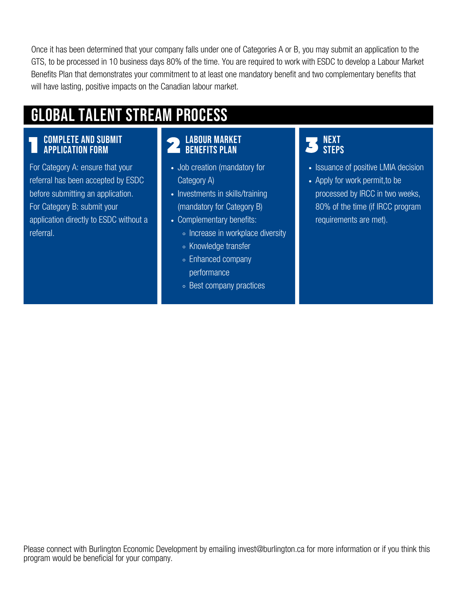Once it has been determined that your company falls under one of Categories A or B, you may submit an application to the GTS, to be processed in 10 business days 80% of the time. You are required to work with ESDC to develop a Labour Market Benefits Plan that demonstrates your commitment to at least one mandatory benefit and two complementary benefits that will have lasting, positive impacts on the Canadian labour market.

# Global Talent Stream Process

#### Complete and submit application form

For Category A: ensure that your referral has been accepted by ESDC before submitting an application. For Category B: submit your application directly to ESDC without a referral.

#### Labour Market Benefits Plan

- Job creation (mandatory for Category A)
- Investments in skills/training (mandatory for Category B)
- Complementary benefits:
	- Increase in workplace diversity
	- Knowledge transfer
	- Enhanced company performance
	- Best company practices

#### **NEXT STFPS**

- Issuance of positive LMIA decision
- Apply for work permit, to be processed by IRCC in two weeks, 80% of the time (if IRCC program requirements are met).